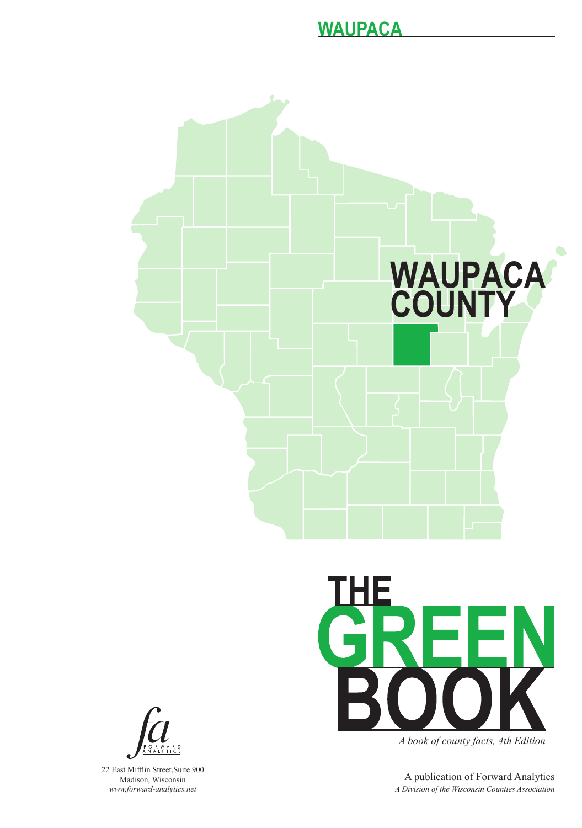



22 East Mifflin Street,Suite 900 Madison, Wisconsin *www.forward-analytics.net*



*A book of county facts, 4th Edition*

A publication of Forward Analytics *A Division of the Wisconsin Counties Association*